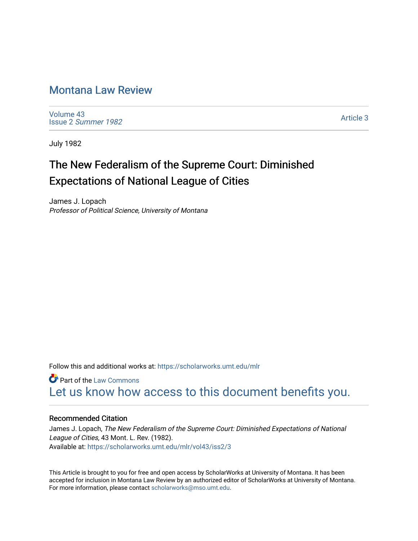## [Montana Law Review](https://scholarworks.umt.edu/mlr)

[Volume 43](https://scholarworks.umt.edu/mlr/vol43) Issue 2 [Summer 1982](https://scholarworks.umt.edu/mlr/vol43/iss2) 

[Article 3](https://scholarworks.umt.edu/mlr/vol43/iss2/3) 

July 1982

# The New Federalism of the Supreme Court: Diminished Expectations of National League of Cities

James J. Lopach Professor of Political Science, University of Montana

Follow this and additional works at: [https://scholarworks.umt.edu/mlr](https://scholarworks.umt.edu/mlr?utm_source=scholarworks.umt.edu%2Fmlr%2Fvol43%2Fiss2%2F3&utm_medium=PDF&utm_campaign=PDFCoverPages) 

**C** Part of the [Law Commons](http://network.bepress.com/hgg/discipline/578?utm_source=scholarworks.umt.edu%2Fmlr%2Fvol43%2Fiss2%2F3&utm_medium=PDF&utm_campaign=PDFCoverPages) [Let us know how access to this document benefits you.](https://goo.gl/forms/s2rGfXOLzz71qgsB2) 

## Recommended Citation

James J. Lopach, The New Federalism of the Supreme Court: Diminished Expectations of National League of Cities, 43 Mont. L. Rev. (1982). Available at: [https://scholarworks.umt.edu/mlr/vol43/iss2/3](https://scholarworks.umt.edu/mlr/vol43/iss2/3?utm_source=scholarworks.umt.edu%2Fmlr%2Fvol43%2Fiss2%2F3&utm_medium=PDF&utm_campaign=PDFCoverPages) 

This Article is brought to you for free and open access by ScholarWorks at University of Montana. It has been accepted for inclusion in Montana Law Review by an authorized editor of ScholarWorks at University of Montana. For more information, please contact [scholarworks@mso.umt.edu.](mailto:scholarworks@mso.umt.edu)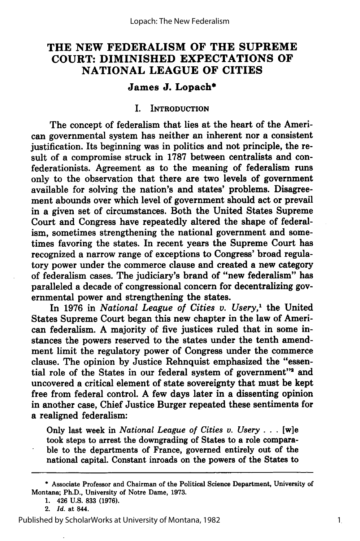## **THE NEW FEDERALISM OF THE SUPREME COURT: DIMINISHED EXPECTATIONS OF NATIONAL LEAGUE OF CITIES**

## **James J. Lopach\***

#### I. INTRODUCTION

The concept of federalism that lies at the heart of the American governmental system has neither an inherent nor a consistent justification. Its beginning was in politics and not principle, the result of a compromise struck in **1787** between centralists and confederationists. Agreement as to the meaning of federalism runs only to the observation that there are two levels of government available for solving the nation's and states' problems. Disagreement abounds over which level of government should act or prevail in a given set of circumstances. Both the United States Supreme Court and Congress have repeatedly altered the shape of federalism, sometimes strengthening the national government and sometimes favoring the states. In recent years the Supreme Court has recognized a narrow range of exceptions to Congress' broad regulatory power under the commerce clause and created a new category of federalism cases. The judiciary's brand of "new federalism" has paralleled a decade of congressional concern for decentralizing governmental power and strengthening the states.

In **1976** in *National League of Cities v. Usery,1* the United States Supreme Court began this new chapter in the law of American federalism. **A** majority of five justices ruled that in some instances the powers reserved to the states under the tenth amendment limit the regulatory power of Congress under the commerce clause. The opinion **by** Justice Rehnquist emphasized the "essential role of the States in our federal system of government"<sup>2</sup> and uncovered a critical element of state sovereignty that must be kept free from federal control. **A** few days later in a dissenting opinion in another case, Chief Justice Burger repeated these sentiments for a realigned federalism:

Only last week in *National League of Cities v. Usery* **. .. [w]e** took steps to arrest the downgrading of States to a role comparable to the departments of France, governed entirely out of the national capital. Constant inroads on the powers of the States to

**<sup>\*</sup>** Associate Professor and Chairman of the Political Science Department, University of Montana; Ph.D., University of Notre Dame, **1973.**

**<sup>1.</sup>** 426 **U.S. 833 (1976).**

<sup>2.</sup> *Id.* at 844.

Published by ScholarWorks at University of Montana, 1982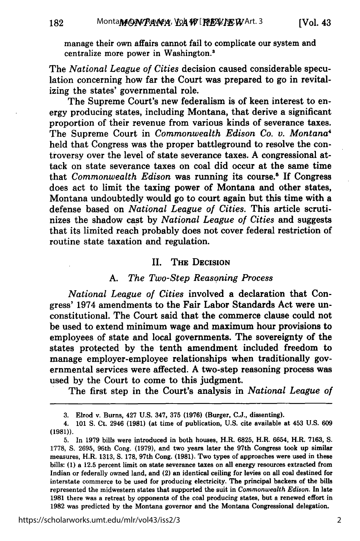182

manage their own affairs cannot fail to complicate our system and centralize more power in Washington."

The *National League of Cities* decision caused considerable speculation concerning how far the Court was prepared to go in revitalizing the states' governmental role.

The Supreme Court's new federalism is of keen interest to energy producing states, including Montana, that derive a significant proportion of their revenue from various kinds of severance taxes. The Supreme Court in *Commonwealth Edison Co. v. Montana4* held that Congress was the proper battleground to resolve the controversy over the level of state severance taxes. **A** congressional attack on state severance taxes on coal did occur at the same time that *Commonwealth Edison* was running its course.5 **If** Congress does act to limit the taxing power of Montana and other states, Montana undoubtedly would go to court again but this time with a defense based on *National League of Cities.* This article scrutinizes the shadow cast **by** *National League of Cities* and suggests that its limited reach probably does not cover federal restriction of routine state taxation and regulation.

#### II. **THE DECISION**

#### *A. The Two-Step Reasoning Process*

*National League of Cities* involved a declaration that Congress' 1974 amendments to the Fair Labor Standards Act were unconstitutional. The Court said that the commerce clause could not be used to extend minimum wage and maximum hour provisions to employees of state and local governments. The sovereignty of the states protected **by** the tenth amendment included freedom to manage employer-employee relationships when traditionally governmental services were affected. **A** two-step reasoning process was used **by** the Court to come to this judgment.

The first step in the Court's analysis in *National League of*

**<sup>3.</sup>** Elrod v. Burns, 427 **U.S.** 347, **375 (1976)** (Burger, **C.J.,** dissenting).

<sup>4.</sup> **101 S.** Ct. 2946 **(1981)** (at time of publication, **U.S.** cite available at 453 **U.S. 609 (1981)).**

**<sup>5.</sup>** In **1979** bills were introduced in both houses, H.R. **6825,** H.R. **6654,** H.R. **7163, S. 1778, S. 2695,** 96th Cong. **(1979),** and two years later the 97th Congress took up similar measures, H.R. **1313, S. 178,** 97th Cong. **(1981).** Two types of approaches were used in these bills: **(1)** a **12.5** percent limit on state severance taxes on all energy resources extracted from Indian or federally owned land, and (2) an identical ceiling for levies on all coal destined for interstate commerce to be used for producing electricity. The principal backers of the bills represented the midwestern states that supported the suit in *Commonwealth Edison.* **In** late **1981** there was a retreat **by** opponents of the coal producing states, but a renewed effort in **1982** was predicted **by** the Montana governor and the Montana Congressional delegation.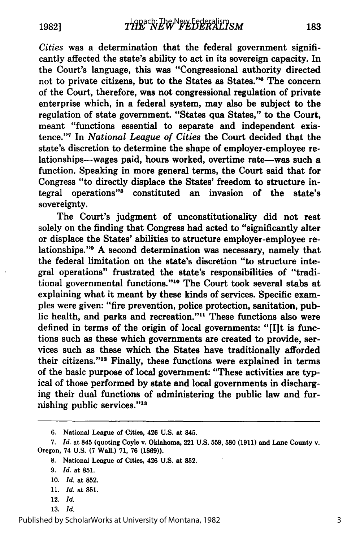*Cities* was a determination that the federal government significantly affected the state's ability to act in its sovereign capacity. In the Court's language, this was "Congressional authority directed not to private citizens, but to the States as States."6 The concern of the Court, therefore, was not congressional regulation of private enterprise which, in a federal system, may also be subject to the regulation of state government. "States qua States," to the Court, meant "functions essential to separate and independent existence."1 In *National League of Cities* the Court decided that the state's discretion to determine the shape of employer-employee relationships-wages paid, hours worked, overtime rate-was such a function. Speaking in more general terms, the Court said that for Congress "to directly displace the States' freedom to structure integral operations"8 constituted an invasion of the state's sovereignty.

The Court's judgment of unconstitutionality did not rest solely on the finding that Congress had acted to "significantly alter or displace the States' abilities to structure employer-employee relationships."<sup>8</sup> A second determination was necessary, namely that the federal limitation on the state's discretion "to structure integral operations" frustrated the state's responsibilities of "traditional governmental functions."10 The Court took several stabs at explaining what it meant by these kinds of services. Specific examples were given: "fire prevention, police protection, sanitation, public health, and parks and recreation."<sup>11</sup> These functions also were defined in terms of the origin of local governments: "[I]t is functions such as these which governments are created to provide, services such as these which the States have traditionally afforded their citizens."<sup>12</sup> Finally, these functions were explained in terms of the basic purpose of local government: "These activities are typical of those performed by state and local governments in discharging their dual functions of administering the public law and furnishing public services."18

- 12. *Id.*
- 13. *Id.*

<sup>6.</sup> National League of Cities, 426 U.S. at 845.

<sup>7.</sup> *Id.* at 845 (quoting Coyle v. Oklahoma, 221 U.S. 559, **580** (1911) and Lane County v. Oregon, 74 U.S. **(7** Wall.) 71, 76 **(1869)).**

<sup>8.</sup> National League of Cities, 426 U.S. at 852.

<sup>9.</sup> *Id.* at 851.

<sup>10.</sup> *Id.* at 852.

<sup>11.</sup> *Id.* at 851.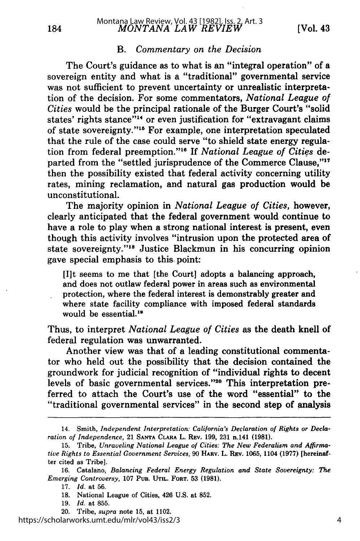## *MONTANA LAW REVIEW* 184 [Vol. **43** Montana Law Review, Vol. 43 [1982], Iss. 2, Art. 3

#### B. *Commentary on the Decision*

The Court's guidance as to what is an "integral operation" of a sovereign entity and what is a "traditional" governmental service was not sufficient to prevent uncertainty or unrealistic interpretation of the decision. For some commentators, *National League of Cities* would be the principal rationale of the Burger Court's "solid states' rights stance"<sup>14</sup> or even justification for "extravagant claims" of state sovereignty."15 For example, one interpretation speculated that the rule of the case could serve "to shield state energy regulation from federal preemption."<sup>16</sup> If *National League of Cities* departed from the "settled jurisprudence of the Commerce Clause,"<sup>17</sup> then the possibility existed that federal activity concerning utility rates, mining reclamation, and natural gas production would be unconstitutional.

The majority opinion in *National League of Cities,* however, clearly anticipated that the federal government would continue to have a role to play when a strong national interest is present, even though this activity involves "intrusion upon the protected area of state sovereignty."<sup>18</sup> Justice Blackmun in his concurring opinion gave special emphasis to this. point:

[I]t seems to me that [the Court] adopts a balancing approach, and does not outlaw federal power in areas such as environmental protection, where the federal interest is demonstrably greater and where state facility compliance with imposed federal standards would be essential.<sup>19</sup>

Thus, to interpret *National League of Cities* as the death knell of federal regulation was unwarranted.

Another view was that of a leading constitutional commentator who held out the possibility that the decision contained the groundwork for judicial recognition of "individual rights to decent levels of basic governmental services."20 This interpretation preferred to attach the Court's use of the word "essential" to the "traditional governmental services" in the second step of analysis

**16.** Catalano, *Balancing Federal Energy Regulation and State Sovereignty: The Emerging Controversy,* **107 PUB. UTIL. FORT. 53 (1981).**

https://scholarworks.umt.edu/mlr/vol43/iss2/3

<sup>14.</sup> Smith, *Independent Interpretation: California's Declaration of Rights or Declaration of Independence,* **21 SANTA CLARA** L. **REV. 199, 231** n.141 **(1981).**

**<sup>15.</sup>** Tribe, *Unraveling National League of Cities: The New Federalism and Affirmative Rights to Essential Government Services,* **90 HARV.** L. **REV. 1065,** 1104 **(1977)** [hereinafter cited as Tribe].

**<sup>17.</sup>** *Id.* at **56.**

**<sup>18.</sup>** National League of Cities, 426 **U.S.** at **852.**

**<sup>19.</sup>** *Id.* at **855.**

<sup>20.</sup> Tribe, *supra* note **15,** at 1102.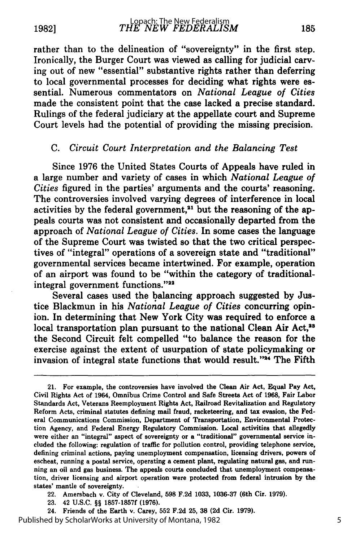rather than to the delineation of "sovereignty" in the first step. Ironically, the Burger Court was viewed as calling for judicial carving out of new "essential" substantive rights rather than deferring to local governmental processes for deciding what rights were essential. Numerous commentators on *National League of Cities* made the consistent point that the case lacked a precise standard. Rulings of the federal judiciary at the appellate court and Supreme Court levels had the potential of providing the missing precision.

## *C. Circuit Court Interpretation and the Balancing Test*

Since 1976 the United States Courts of Appeals have ruled in a large number and variety of cases in which *National League of Cities* figured in the parties' arguments and the courts' reasoning. The controversies involved varying degrees of interference in local activities by the federal government, $21$  but the reasoning of the appeals courts was not consistent and occasionally departed from the approach of *National League of Cities.* In some cases the language of the Supreme Court was twisted so that the two critical perspectives of "integral" operations of a sovereign state and "traditional" governmental services became intertwined. For example, operation of an airport was found to be "within the category of traditionalintegral government functions."<sup>22</sup>

Several cases used the balancing approach suggested by Justice Blackmun in his *National League of Cities* concurring opinion. In determining that New York City was required to enforce a local transportation plan pursuant to the national Clean Air Act,<sup>23</sup> the Second Circuit felt compelled "to balance the reason for the exercise against the extent of usurpation of state policymaking or invasion of integral state functions that would result."<sup>24</sup> The Fifth

Published by ScholarWorks at University of Montana, 1982

<sup>21.</sup> For example, the controversies have involved the Clean Air Act, Equal Pay Act, Civil Rights Act of 1964, Omnibus Crime Control and Safe Streets Act of **1968,** Fair Labor Standards Act, Veterans Reemployment Rights Act, Railroad Revitalization and Regulatory Reform Acts, criminal statutes defining mail fraud, racketeering, and tax evasion, the Federal Communications Commission, Department of Transportation, Environmental Protection Agency, and Federal Energy Regulatory Commission. Local activities that allegedly were either an "integral" aspect of sovereignty or a "traditional" governmental service included the following: regulation of traffic for pollution control, providing telephone service, defining criminal actions, paying unemployment compensation, licensing drivers, powers of escheat, running a postal service, operating a cement plant, regulating natural gas, and running an oil and gas business. The appeals courts concluded that unemployment compensation, driver licensing and airport operation were protected from federal intrusion **by** the states' mantle of sovereignty.

<sup>22.</sup> Amersbach v. City of Cleveland, **598 F.2d 1033, 1036-37** (6th Cir. **1979).**

**<sup>23.</sup>** 42 **U.S.C.** §§ **1857-1857f (1976).**

<sup>24.</sup> Friends of the Earth v. Carey, **552 F.2d 25, 38 (2d** Cir. **1979).**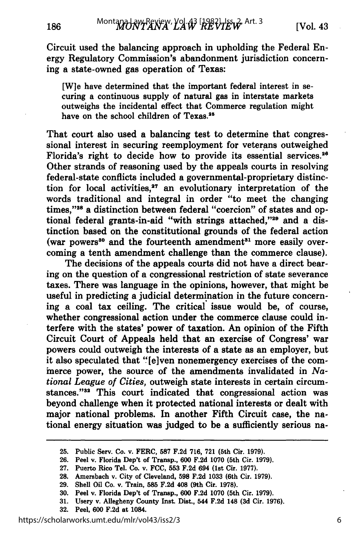186

Circuit used the balancing approach in upholding the Federal Energy Regulatory Commission's abandonment jurisdiction concerning a state-owned gas operation of Texas:

[W]e have determined that the important federal interest in securing a continuous supply of natural gas in interstate markets outweighs the incidental effect that Commerce regulation might have on the school children of Texas.<sup>25</sup>

That court also used a balancing test to determine that congressional interest in securing reemployment for veterans outweighed Florida's right to decide how to provide its essential services.<sup>26</sup> Other strands of reasoning used by the appeals courts in resolving federal-state conflicts included a governmental-proprietary distinction for local activities,<sup>27</sup> an evolutionary interpretation of the words traditional and integral in order "to meet the changing times,"28 a distinction between federal "coercion" of states and optional federal grants-in-aid "with strings attached,"<sup>29</sup> and a distinction based on the constitutional grounds of the federal action (war powers<sup>30</sup> and the fourteenth amendment<sup>31</sup> more easily overcoming a tenth amendment challenge than the commerce clause).

The decisions of the appeals courts did not have a direct bearing on the question of a congressional restriction of state severance taxes. There was language in the opinions, however, that might be useful in predicting a judicial determination in the future concerning a coal tax ceiling. The critical issue would be, of course, whether congressional action under the commerce clause could interfere with the states' power of taxation. An opinion of the Fifth Circuit Court of Appeals held that an exercise of Congress' war powers could outweigh the interests of a state as an employer, but it also speculated that "[elven nonemergency exercises of the cominerce power, the source of the amendments invalidated in *National League of Cities,* outweigh state interests in certain circumstances."<sup>32</sup> This court indicated that congressional action was beyond challenge when it protected national interests or dealt with major national problems. In another Fifth Circuit case, the national energy situation was judged to be a sufficiently serious na-

**32.** Peel. **600 F.2d** at 1084.

**<sup>25.</sup>** Public Serv. Co. v. FERC, **587 F.2d 716, 721** (5th Cir. **1979).**

**<sup>26.</sup>** Peel v. Florida Dep't of Transp., **600 F.2d 1070** (5th Cir. **1979).**

**<sup>27.</sup>** Puerto Rico Tel. Co. v. **FCC, 553 F.2d** 694 **(1st** Cir. **1977).**

**<sup>28.</sup>** Amersbach v. City of Cleveland, **598 F.2d 1033** (6th Cir. **1979).**

**<sup>29.</sup>** Shell Oil Co. v. Train, **585 F.2d** 408 (9th Cir. **1978).**

**<sup>30.</sup>** Peel v. Florida Dep't of Transp., **600 F.2d 1070** (5th Cir. **1979).**

**<sup>31.</sup>** Usery v. Allegheny County Inst. Dist., 544 **F.2d** 148 **(3d** Cir. **1976).**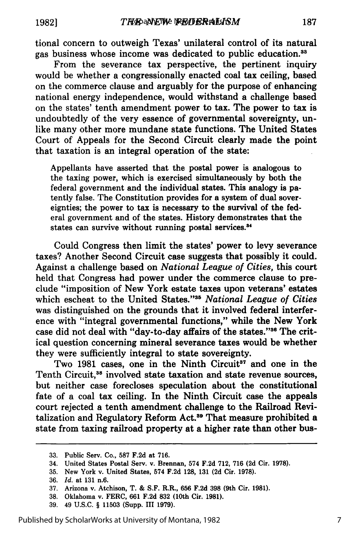tional concern to outweigh Texas' unilateral control of its natural gas business whose income was dedicated to public education.<sup>33</sup>

From the severance tax perspective, the pertinent inquiry would be whether a congressionally enacted coal tax ceiling, based on the commerce clause and arguably for the purpose of enhancing national energy independence, would withstand a challenge based on the states' tenth amendment power to tax. The power to tax is undoubtedly of the very essence of governmental sovereignty, unlike many other more mundane state functions. The United States Court of Appeals for the Second Circuit clearly made the point that taxation is an integral operation of the state:

Appellants have asserted that the postal power is analogous to the taxing power, which is exercised simultaneously by both the federal government and the individual states. This analogy is patently false. The Constitution provides for a system of dual sovereignties; the power to tax is necessary to the survival of the federal government and of the states. History demonstrates that the states can survive without running postal services.<sup>34</sup>

Could Congress then limit the states' power to levy severance taxes? Another Second Circuit case suggests that possibly it could. Against a challenge based on *National League of Cities,* this court held that Congress had power under the commerce clause to preclude "imposition of New York estate taxes upon veterans' estates which escheat to the United States."<sup>35</sup> National League of Cities was distinguished on the grounds that it involved federal interference with "integral governmental functions," while the New York case did not deal with "day-to-day affairs of the states."<sup>36</sup> The critical question concerning mineral severance taxes would be whether they were sufficiently integral to state sovereignty.

Two 1981 cases, one in the Ninth Circuit<sup>37</sup> and one in the Tenth Circuit,<sup>38</sup> involved state taxation and state revenue sources, but neither case forecloses speculation about the constitutional fate of a coal tax ceiling. In the Ninth Circuit case the appeals court rejected a tenth amendment challenge to the Railroad Revitalization and Regulatory Reform Act.<sup>39</sup> That measure prohibited a state from taxing railroad property at a higher rate than other **bus-**

**39.** 49 **U.S.C.** § **11503** (Supp. **III 1979).**

**<sup>33.</sup>** Public Serv. Co., **587 F.2d** at **716.**

<sup>34.</sup> United States Postal Serv. v. Brennan, 574 **F.2d 712, 716 (2d** Cir. **1978).**

**<sup>35.</sup>** New York v. United States, 574 **F.2d 128, 131 (2d** Cir. **1978).**

**<sup>36.</sup>** *Id.* at **131** n.6.

**<sup>37.</sup>** Arizona v. Atchison, T. **& S.F.** R.R., **656 F.2d 398** (9th Cir. **1981).**

**<sup>38.</sup>** Oklahoma v. FERC, **661 F.2d 832** (10th Cir. **1981).**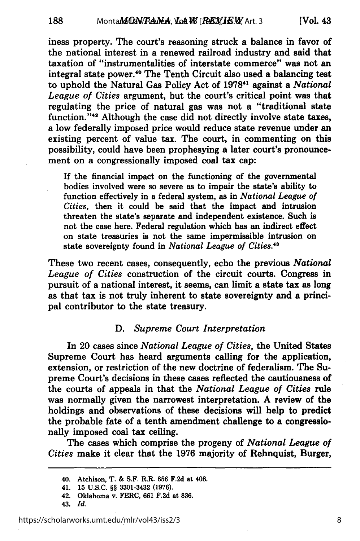iness property. The court's reasoning struck a balance in favor of the national interest in a renewed railroad industry and said that taxation of "instrumentalities of interstate commerce" was not an integral state power.<sup>40</sup> The Tenth Circuit also used a balancing test to uphold the Natural Gas Policy Act of 19781 against a *National League of Cities* argument, but the court's critical point was that regulating the price of natural gas was not a "traditional state function."<sup>42</sup> Although the case did not directly involve state taxes, a low federally imposed price would reduce state revenue under an existing percent of value tax. The court, in commenting on this possibility, could have been prophesying a later court's pronouncement on a congressionally imposed coal tax cap:

If the financial impact on the functioning of the governmental bodies involved were so severe as to impair the state's ability to function effectively in a federal system, as in *National League of Cities,* then it could be said that the impact and intrusion threaten the state's separate and independent existence. Such is not the case here. Federal regulation which has an indirect effect on state treasuries is not the same impermissible intrusion on state sovereignty found in *National League of Cities."*

These two recent cases, consequently, echo the previous *National League of Cities* construction of the circuit courts. Congress in pursuit of a national interest, it seems, can limit a state tax as long as that tax is not truly inherent to state sovereignty and a principal contributor to the state treasury.

### **D.** *Supreme Court Interpretation*

In 20 cases since *National League of Cities,* the United States Supreme Court has heard arguments calling for the application, extension, or restriction of the new doctrine of federalism. The Supreme Court's decisions in these cases reflected the cautiousness of the courts of appeals in that the *National League of Cities* rule was normally given the narrowest interpretation. **A** review of the holdings and observations of these decisions will help to predict the probable fate of a tenth amendment challenge to a congressionally imposed coal tax ceiling.

The cases which comprise the progeny of *National League of Cities* make it clear that the **1976** majority of Rehnquist, Burger,

188

<sup>40.</sup> Atchison, T. **& S.F.** R.R. **656 F.2d** at 408.

<sup>41. 15</sup> **U.S.C.** §§ **3301-3432 (1976).**

<sup>42.</sup> Oklahoma v. FERC, **661 F.2d** at **836.**

<sup>43.</sup> *Id.*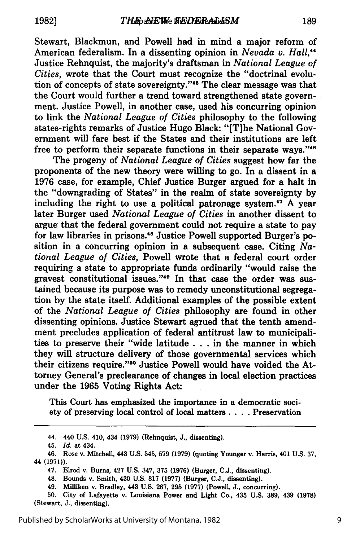Stewart, Blackmun, and Powell had in mind a major reform of American federalism. In a dissenting opinion in *Nevada v. Hall,"* Justice Rehnquist, the majority's draftsman in *National League of Cities,* wrote that the Court must recognize the "doctrinal evolution of concepts of state sovereignty."<sup>45</sup> The clear message was that the Court would further a trend toward strengthened state government. Justice Powell, in another case, used his concurring opinion to link the *National League of Cities* philosophy to the following states-rights remarks of Justice Hugo Black: "[T]he National Government will fare best if the States and their institutions are left free to perform their separate functions in their separate ways. **"46**

The progeny of *National League of Cities* suggest how far the proponents of the new theory were willing to go. In a dissent in a 1976 case, for example, Chief Justice Burger argued for a halt in the "downgrading of States" in the realm of state sovereignty by including the right to use a political patronage system.<sup>47</sup> A year later Burger used *National League of Cities* in another dissent to argue that the federal government could not require a state to pay for law libraries in prisons.<sup>48</sup> Justice Powell supported Burger's position in a concurring opinion in a subsequent case. Citing *National League of Cities,* Powell wrote that a federal court order requiring a state to appropriate funds ordinarily "would raise the gravest constitutional issues."<sup>49</sup> In that case the order was sustained because its purpose was to remedy unconstitutional segregation by the state itself. Additional examples of the possible extent of the *National League of Cities* philosophy are found in other dissenting opinions. Justice Stewart agrued that the tenth amendment precludes application of federal antitrust law to municipalities to preserve their "wide latitude . . . in the manner in which they will structure delivery of those governmental services which their citizens require."<sup>50</sup> Justice Powell would have voided the Attorney General's preclearance of changes in local election practices under the **1965** Voting Rights Act:

This Court has emphasized the importance in a democratic society of preserving local control of local matters **....** Preservation

9

<sup>44. 440</sup> **U.S.** 410, 434 **(1979)** (Rehnquist, **J.,** dissenting).

<sup>45.</sup> *Id.* at 434.

<sup>46.</sup> Rose v. Mitchell, 443 **U.S.** 545, **579 (1979)** (quoting Younger v. Harris, 401 **U.S. 37,** 44 **(1971)).**

<sup>47.</sup> Elrod v. Burns, 427 **U.S.** 347, **375 (1976)** (Burger, **C.J.,** dissenting).

<sup>48.</sup> Bounds v. Smith, 430 **U.S. 817 (1977)** (Burger, **C.J.,** dissenting).

<sup>49.</sup> Milliken v. Bradley, 443 **U.S. 267, 295 (1977)** (Powell, **J.,** concurring).

**<sup>50.</sup>** City of Lafayette v. Louisiana Power and Light Co., 435 **U.S. 389,** 439 **(1978)** (Stewart, **J.,** dissenting).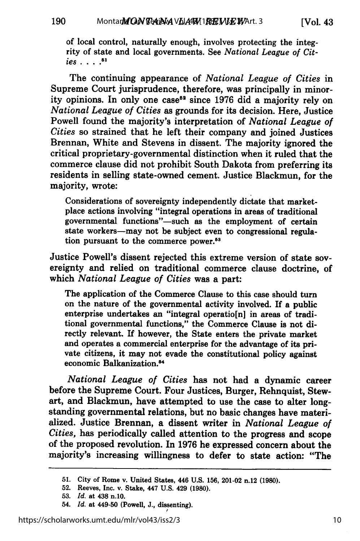190

[Vol. **43**

of local control, naturally enough, involves protecting the integ- rity of state and local governments. See *National League of Cities ....* **"**

The continuing appearance of *National League of Cities* in Supreme Court jurisprudence, therefore, was principally in minority opinions. In only one case<sup>52</sup> since 1976 did a majority rely on *National League of Cities* as grounds for its decision. Here, Justice Powell found the majority's interpretation of *National League of Cities* so strained that he left their company and joined Justices Brennan, White and Stevens in dissent. The majority ignored the critical proprietary-governmental distinction when it ruled that the commerce clause did not prohibit South Dakota from preferring its residents in selling state-owned cement. Justice Blackmun, for the majority, wrote:

Considerations of sovereignty independently dictate that marketplace actions involving "integral operations in areas of traditional governmental functions"-such as the employment of certain state workers-may not be subject even to congressional regulation pursuant to the commerce power.<sup>53</sup>

Justice Powell's dissent rejected this extreme version of state sovereignty and relied on traditional commerce clause doctrine, of which *National League of Cities* was a part:

The application of the Commerce Clause to this case should turn on the nature of the governmental activity involved. **If** a public enterprise undertakes an "integral operatio[n] in areas of traditional governmental functions," the Commerce Clause is not directly relevant. If however, the State enters the private market and operates a commercial enterprise for the advantage of its private citizens, it may not evade the constitutional policy against economic Balkanization.<sup>54</sup>

*National League of Cities* has not had a dynamic career before the Supreme Court. Four Justices, Burger, Rehnquist, Stewart, and Blackmun, have attempted to use the case to alter longstanding governmental relations, but no basic changes have materialized. Justice Brennan, a dissent writer in *National League of Cities,* has periodically called attention to the progress and scope of the proposed revolution. In **1976** he expressed concern about the majority's increasing willingness to defer to state action: "The

54. *Id.* at 449-50 (Powell, **J.,** dissenting).

**<sup>51.</sup>** City of Rome v. United States, 446 **U.S. 156,** 201-02 n.12 **(1980).**

**<sup>52.</sup>** Reeves, Inc. v. Stake, 447 **U.S.** 429 **(1980).**

**<sup>53.</sup>** *Id.* at 438 n.10.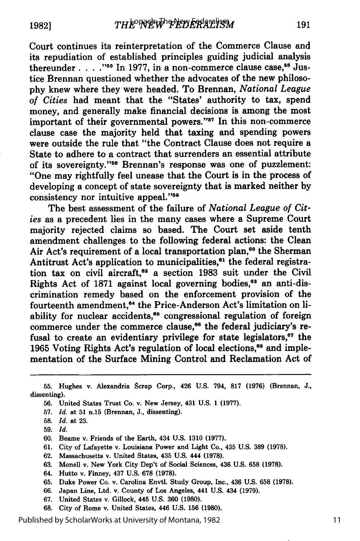Court continues its reinterpretation of the Commerce Clause and its repudiation of established principles guiding judicial analysis thereunder . . . . "<sup>55</sup> In 1977, in a non-commerce clause case,<sup>56</sup> Justice Brennan questioned whether the advocates of the new philosophy knew where they were headed. To Brennan, *National League of Cities* had meant that the "States' authority to tax, spend money, and generally make financial decisions is among the most important of their governmental powers."<sup>57</sup> In this non-commerce clause case the majority held that taxing and spending powers were outside the rule that "the Contract Clause does not require a State to adhere to a contract that surrenders an essential attribute of its sovereignty."<sup>58</sup> Brennan's response was one of puzzlement: "One may rightfully feel unease that the Court is in the process of developing a concept of state sovereignty that is marked neither **by** consistency nor intuitive appeal."<sup>59</sup>

The best assessment of the failure of *National League of Cities* as a precedent lies in the many cases where a Supreme Court majority rejected claims so based. The Court set aside tenth amendment challenges to the following federal actions: the Clean Air Act's requirement of a local transportation plan,<sup>60</sup> the Sherman Antitrust Act's application to municipalities,<sup>61</sup> the federal registration tax on civil aircraft,<sup>62</sup> a section 1983 suit under the Civil Rights Act of 1871 against local governing bodies,<sup>63</sup> an anti-discrimination remedy based on the enforcement provision of the fourteenth amendment,<sup>64</sup> the Price-Anderson Act's limitation on liability for nuclear accidents,<sup>65</sup> congressional regulation of foreign commerce under the commerce clause,<sup>66</sup> the federal judiciary's refusal to create an evidentiary privilege for state legislators, $67$  the 1965 Voting Rights Act's regulation of local elections,<sup>68</sup> and implementation of the Surface Mining Control and Reclamation Act of

- **56.** United States Trust Co. v. New Jersey, 431 **U.S. 1 (1977).**
- **57.** *Id.* at **51** n.15 (Brennan, **J.,** dissenting).
- **58.** *Id.* at **23.**
- **59.** *Id.*
- **60.** Beame v. Friends of the Earth, 434 **U.S. 1310 (1977).**
- **61.** City of Lafayette v. Louisiana Power and Light Co., 435 **U.S. 389 (1978).**
- **62.** Massachusetts v. United States, 435 **U.S.** 444 **(1978).**
- **63.** Monell v. New York City Dep't of Social Sciences, 436 **U.S. 658 (1978).**
- 64. Hutto v. Finney, 437 **U.S. 678 (1978).**
- **65.** Duke Power Co. v. Carolina Envtl. Study Group, Inc., 436 **U.S. 658 (1978).**
- **66.** Japan Line, Ltd. v. County of Los Angeles, 441 **U.S.** 434 **(1979).**
- **67.** United States v. Gillock, 445 **U.S. 360 (1980).**
- 68. City of Rome v. United States, 446 U.S. 156 **(1980).**

Published by ScholarWorks at University of Montana, 1982

**<sup>55.</sup>** Hughes v. Alexandria Scrap Corp., 426 **U.S.** 794, **817 (1976)** (Brennan, **J.,** dissenting).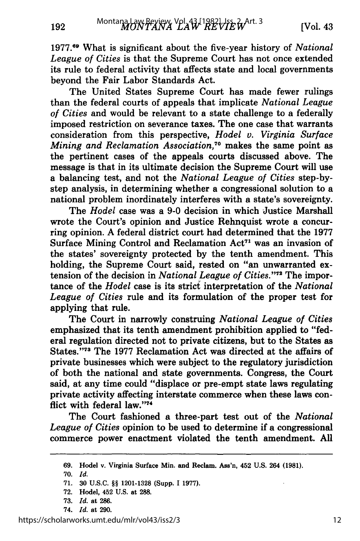**1977."9** What is significant about the five-year history of *National League of Cities* is that the Supreme Court has not once extended its rule to federal activity that affects state and local governments beyond the Fair Labor Standards Act.

The United States Supreme Court has made fewer rulings than the federal courts of appeals that implicate *National League of Cities* and would be relevant to a state challenge to a federally imposed restriction on severance taxes. The one case that warrants consideration from this perspective, *Hodel v. Virginia Surface Mining and Reclamation Association*,<sup>70</sup> makes the same point as the pertinent cases of the appeals courts discussed above. The message is that in its ultimate decision the Supreme Court will use a balancing test, and not the *National League of Cities* step-bystep analysis, in determining whether a congressional solution to a national problem inordinately interferes with a state's sovereignty.

The *Hodel* case was a **9-0** decision in which Justice Marshall wrote the Court's opinion and Justice Rehnquist wrote a concurring opinion. **A** federal district court had determined that the **1977** Surface Mining Control and Reclamation  $Act<sup>71</sup>$  was an invasion of the states' sovereignty protected **by** the tenth amendment. This holding, the Supreme Court said, rested on "an unwarranted extension of the decision in *National League of Cities.*"<sup>72</sup> The importance of the *Hodel* case is its strict interpretation of the *National League of Cities* rule and its formulation of the proper test for applying that rule.

The Court in narrowly construing *National League of Cities* emphasized that its tenth amendment prohibition applied to "federal regulation directed not to private citizens, but to the States as States."<sup>73</sup> The 1977 Reclamation Act was directed at the affairs of private businesses which were subject to the regulatory jurisdiction of both the national and state governments. Congress, the Court said, at any time could "displace or pre-empt state laws regulating private activity affecting interstate commerce when these laws conflict with federal law."74

The Court fashioned a three-part test out of the *National League of Cities* opinion to be used to determine if a congressional commerce power enactment violated the tenth amendment. **All**

**<sup>69.</sup>** Hodel v. Virginia Surface **Min.** and Reclam. Ass'n, 452 **U.S.** 264 **(1981).**

**<sup>70.</sup>** *Id.*

<sup>71. 30</sup> U.S.C. §§ 1201-1328 (Supp. 1 1977).

<sup>72.</sup> Hodel, 452 U.S. at 288.

<sup>73.</sup> *Id.* at **286.**

<sup>74.</sup> *Id.* at 290.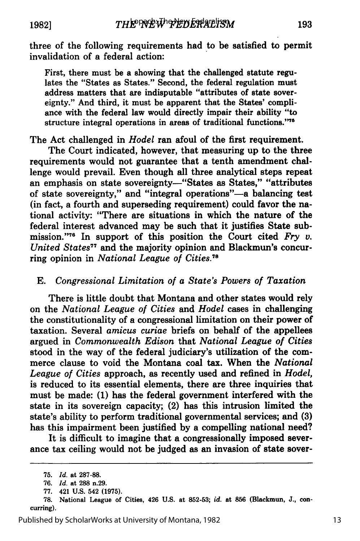**1982]**

three of the following requirements had to be satisfied to permit invalidation of a federal action:

First, there must be a showing that the challenged statute regulates the "States as States." Second, the federal regulation must address matters that are indisputable "attributes of state sovereignty." And third, it must be apparent that the States' compliance with the federal law would directly impair their ability "to structure integral operations in areas of traditional functions."75

The Act challenged in *Hodel* ran afoul of the first requirement.

The Court indicated, however, that measuring up to the three requirements would not guarantee that a tenth amendment challenge would prevail. Even though all three analytical steps repeat an emphasis on state sovereignty-"States as States," "attributes of state sovereignty," and "integral operations"-a balancing test (in fact, a fourth and superseding requirement) could favor the national activity: "There are situations in which the nature of the federal interest advanced may be such that it justifies State submission. **"76** In support of this position the Court cited *Fry v. United States"7* and the majority opinion and Blackmun's concurring opinion in *National League of Cities.8*

## *E. Congressional Limitation of a State's Powers of Taxation*

There is little doubt that Montana and other states would rely on the *National League of Cities and Hodel* cases in challenging the constitutionality of a congressional limitation on their power of taxation. Several *amicus curiae* briefs on behalf of the appellees argued in *Commonwealth Edison* that *National League of Cities* stood in the way of the federal judiciary's utilization of the commerce clause to void the Montana coal tax. When the *National League of Cities* approach, as recently used and refined in *Hodel,* is reduced to its essential elements, there are three inquiries that must be made: **(1)** has the federal government interfered with the state in its sovereign capacity; (2) has this intrusion limited the state's ability to perform traditional governmental services; and **(3)** has this impairment been justified by a compelling national need?

It is difficult to imagine that a congressionally imposed severance tax ceiling would not be judged as an invasion of state sover-

<sup>75.</sup> *Id.* at 287-88.

<sup>76.</sup> *Id.* at **288** n.29.

<sup>77. 421</sup> U.S. 542 (1975).

<sup>78.</sup> National League of Cities, 426 U.S. at 852-53; *id.* at **856** (Blackmun, **J.,** concurring).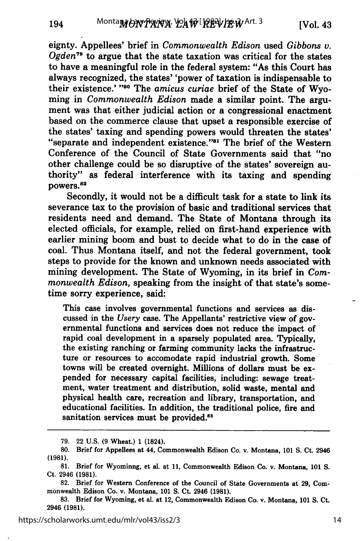eignty. Appellees' brief in *Commonwealth Edison* used *Gibbons v. Ogden"0* to argue that the state taxation was critical for the states to have a meaningful role in the federal system: "As this Court has always recognized, the states' 'power of taxation is indispensable to their existence.' "<sup>80</sup> The *amicus curiae* brief of the State of Wyoming in *Commonwealth Edison* made a similar point. The argument was that either judicial action or a congressional enactment based on the commerce clause that upset a responsible exercise of the states' taxing and spending powers would threaten the states' "separate and independent existence."81 The brief of the Western Conference of the Council of State Governments said that "no other challenge could be so disruptive of the states' sovereign authority" as federal interference with its taxing and spending powers.<sup>82</sup>

Secondly, it would not be a difficult task for a state to link its severance tax to the provision of basic and traditional services that residents need and demand. The State of Montana through its elected officials, for example, relied on first-hand experience with earlier mining boom and bust to decide what to do in the case of coal. Thus Montana itself, and not the federal government, took steps to provide for the known and unknown needs associated with mining development. The State of Wyoming, in its brief in *Commonwealth Edison,* speaking from the insight of that state's sometime sorry experience, said:

This case involves governmental functions and services as discussed in the *Usery* case. The Appellants' restrictive view of governmental functions and services does not reduce the impact of rapid coal development in a sparsely populated area. Typically, the existing ranching or farming community lacks the infrastructure or resources to accomodate rapid industrial growth. Some towns will be created overnight. Millions of dollars must be expended for necessary capital facilities, including: sewage treatment, water treatment and distribution, solid waste, mental and physical health care, recreation and library, transportation, and educational facilities. In addition, the traditional police, fire and sanitation services must be provided.<sup>83</sup>

**<sup>79.</sup>** 22 U.S. **(9** Wheat.) 1 (1824).

**<sup>80.</sup>** Brief for Appellees at 44, Commonwealth Edison Co. v. Montana, 101 S. Ct. 2946 (1981).

<sup>81.</sup> Brief for Wyominng, et al. at 11, Commonwealth Edison Co. v. Montana, **101** S. Ct. 2946 (1981).

<sup>82.</sup> Brief for Western Conference of the Council of State Governments at 29, Commonwealth Edison Co. v. Montana, 101 S. Ct. 2946 (1981).

<sup>83.</sup> Brief for Wyoming, et al. at 12, Commonwealth Edison Co. v. Montana, **101 S.** Ct. 2946 (1981).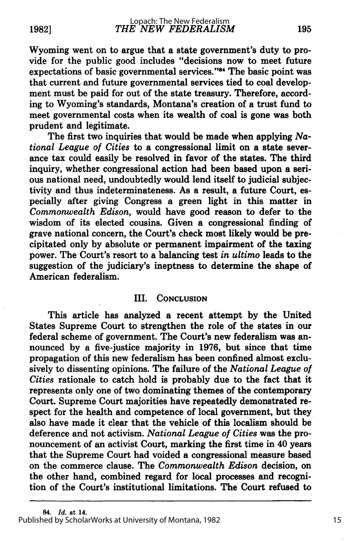Wyoming went on to argue that a state government's duty to provide for the public good includes "decisions now to meet future expectations of basic governmental services."<sup>84</sup> The basic point was that current and future governmental services tied to coal development must be paid for out of the state treasury. Therefore, according to Wyoming's standards, Montana's creation of a trust fund to meet governmental costs when its wealth of coal is gone was both prudent and legitimate.

The first two inquiries that would be made when applying *National League of Cities* to a congressional limit on a state severance tax could easily be resolved in favor of the states. The third inquiry, whether congressional action had been based upon a serious national need, undoubtedly would lend itself to judicial subjectivity and thus indeterminateness. As a result, a future Court, especially after giving Congress a green light in this matter in *Commonwealth Edison,* would have good reason to defer to the wisdom of its elected cousins. Given a congressional finding of grave national concern, the Court's check most likely would be precipitated only **by** absolute or permanent impairment of the taxing power. The Court's resort to a balancing test *in ultimo* leads to the suggestion of the judiciary's ineptness to determine the shape of American federalism.

### III. **CONCLUSION**

This article has analyzed a recent attempt **by** the United States Supreme Court to strengthen the role of the states in our federal scheme of government. The Court's new federalism was announced **by** a five-justice majority in **1976,** but since that time propagation of this new federalism has been confined almost exclusively to dissenting opinions. The failure of the *National League of Cities* rationale to catch hold is probably due to the fact that it represents only one of two dominating themes of the contemporary Court. Supreme Court majorities have repeatedly demonstrated respect for the health and competence of local government, but they also have made it clear that the vehicle of this localism should be deference and not activism. *National League of Cities* was the pronouncement of an activist Court, marking the first time in 40 years that the Supreme Court had voided a congressional measure based on the commerce clause. The *Commonwealth Edison* decision, on the other hand, combined regard for local processes and recognition of the Court's institutional limitations. The Court refused to